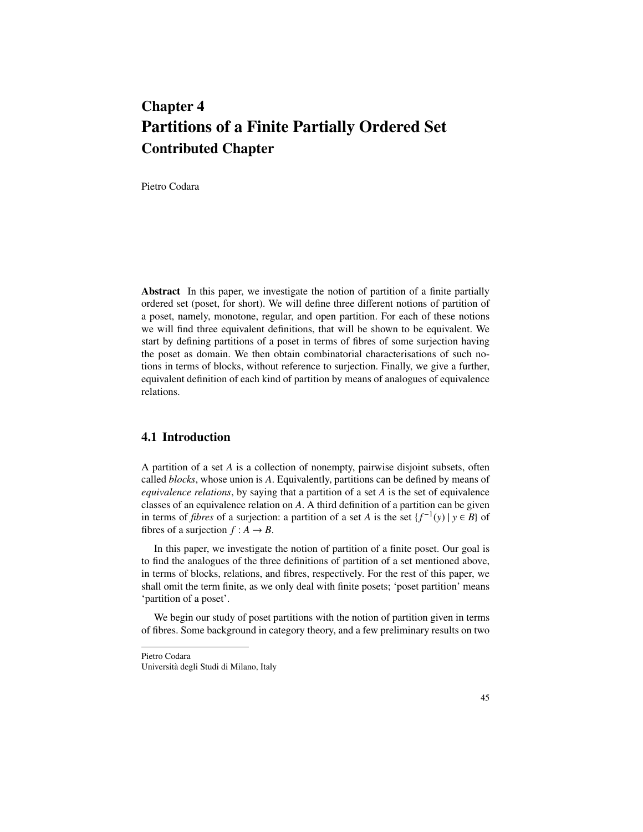# Chapter 4 Partitions of a Finite Partially Ordered Set Contributed Chapter

Pietro Codara

Abstract In this paper, we investigate the notion of partition of a finite partially ordered set (poset, for short). We will define three different notions of partition of a poset, namely, monotone, regular, and open partition. For each of these notions we will find three equivalent definitions, that will be shown to be equivalent. We start by defining partitions of a poset in terms of fibres of some surjection having the poset as domain. We then obtain combinatorial characterisations of such notions in terms of blocks, without reference to surjection. Finally, we give a further, equivalent definition of each kind of partition by means of analogues of equivalence relations.

#### 4.1 Introduction

A partition of a set *A* is a collection of nonempty, pairwise disjoint subsets, often called *blocks*, whose union is *A*. Equivalently, partitions can be defined by means of *equivalence relations*, by saying that a partition of a set *A* is the set of equivalence classes of an equivalence relation on *A*. A third definition of a partition can be given in terms of *fibres* of a surjection: a partition of a set *A* is the set  $\{f^{-1}(y) | y \in B\}$  of fibres of a surjection  $f : A \rightarrow B$ .

In this paper, we investigate the notion of partition of a finite poset. Our goal is to find the analogues of the three definitions of partition of a set mentioned above, in terms of blocks, relations, and fibres, respectively. For the rest of this paper, we shall omit the term finite, as we only deal with finite posets; 'poset partition' means 'partition of a poset'.

We begin our study of poset partitions with the notion of partition given in terms of fibres. Some background in category theory, and a few preliminary results on two

Pietro Codara

Universita degli Studi di Milano, Italy `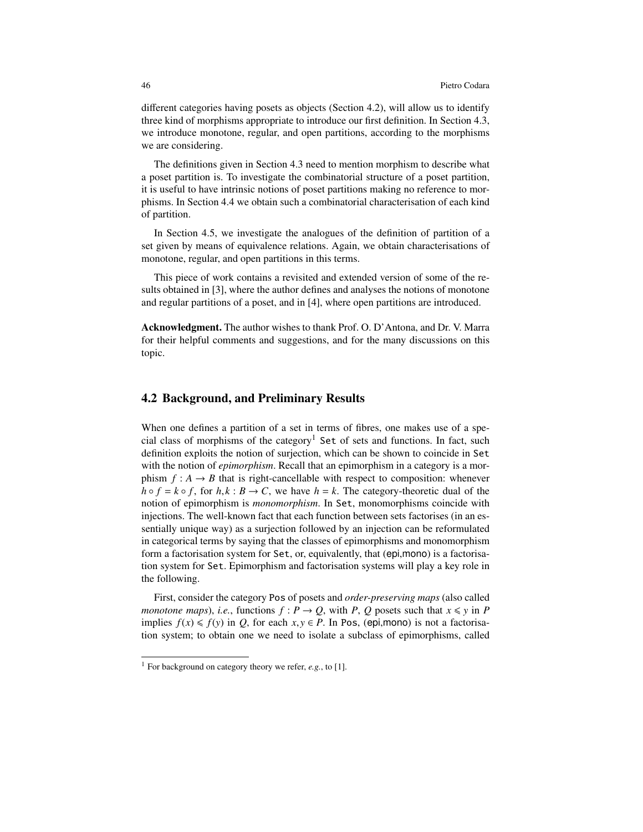different categories having posets as objects (Section 4.2), will allow us to identify three kind of morphisms appropriate to introduce our first definition. In Section 4.3, we introduce monotone, regular, and open partitions, according to the morphisms we are considering.

The definitions given in Section 4.3 need to mention morphism to describe what a poset partition is. To investigate the combinatorial structure of a poset partition, it is useful to have intrinsic notions of poset partitions making no reference to morphisms. In Section 4.4 we obtain such a combinatorial characterisation of each kind of partition.

In Section 4.5, we investigate the analogues of the definition of partition of a set given by means of equivalence relations. Again, we obtain characterisations of monotone, regular, and open partitions in this terms.

This piece of work contains a revisited and extended version of some of the results obtained in [3], where the author defines and analyses the notions of monotone and regular partitions of a poset, and in [4], where open partitions are introduced.

Acknowledgment. The author wishes to thank Prof. O. D'Antona, and Dr. V. Marra for their helpful comments and suggestions, and for the many discussions on this topic.

#### 4.2 Background, and Preliminary Results

When one defines a partition of a set in terms of fibres, one makes use of a special class of morphisms of the category<sup>1</sup> Set of sets and functions. In fact, such definition exploits the notion of surjection, which can be shown to coincide in Set with the notion of *epimorphism*. Recall that an epimorphism in a category is a morphism  $f : A \rightarrow B$  that is right-cancellable with respect to composition: whenever  $h \circ f = k \circ f$ , for  $h, k : B \to C$ , we have  $h = k$ . The category-theoretic dual of the notion of epimorphism is *monomorphism*. In Set, monomorphisms coincide with injections. The well-known fact that each function between sets factorises (in an essentially unique way) as a surjection followed by an injection can be reformulated in categorical terms by saying that the classes of epimorphisms and monomorphism form a factorisation system for Set, or, equivalently, that (epi,mono) is a factorisation system for Set. Epimorphism and factorisation systems will play a key role in the following.

First, consider the category Pos of posets and *order-preserving maps* (also called *monotone maps*), *i.e.*, functions  $f: P \rightarrow Q$ , with *P*, *Q* posets such that  $x \le y$  in *P* implies  $f(x) \leq f(y)$  in *Q*, for each  $x, y \in P$ . In Pos, (epi,mono) is not a factorisation system; to obtain one we need to isolate a subclass of epimorphisms, called

<sup>&</sup>lt;sup>1</sup> For background on category theory we refer, *e.g.*, to [1].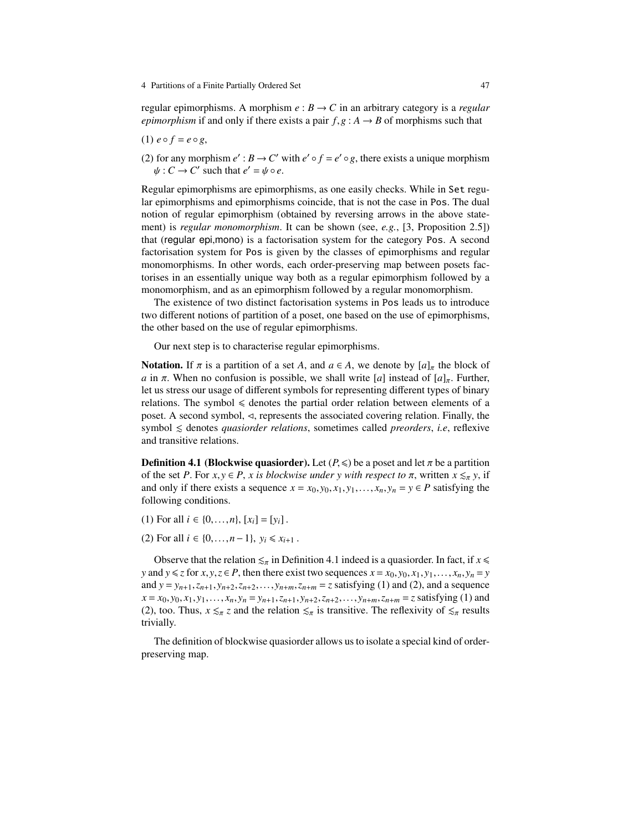regular epimorphisms. A morphism  $e : B \to C$  in an arbitrary category is a *regular epimorphism* if and only if there exists a pair  $f, g : A \rightarrow B$  of morphisms such that

- (1)  $e \circ f = e \circ g$ ,
- (2) for any morphism  $e' : B \to C'$  with  $e' \circ f = e' \circ g$ , there exists a unique morphism  $\psi$  :  $C \rightarrow C'$  such that  $e' = \psi \circ e$ .

Regular epimorphisms are epimorphisms, as one easily checks. While in Set regular epimorphisms and epimorphisms coincide, that is not the case in Pos. The dual notion of regular epimorphism (obtained by reversing arrows in the above statement) is *regular monomorphism*. It can be shown (see, *e.g.*, [3, Proposition 2.5]) that (regular epi,mono) is a factorisation system for the category Pos. A second factorisation system for Pos is given by the classes of epimorphisms and regular monomorphisms. In other words, each order-preserving map between posets factorises in an essentially unique way both as a regular epimorphism followed by a monomorphism, and as an epimorphism followed by a regular monomorphism.

The existence of two distinct factorisation systems in Pos leads us to introduce two different notions of partition of a poset, one based on the use of epimorphisms, the other based on the use of regular epimorphisms.

Our next step is to characterise regular epimorphisms.

**Notation.** If  $\pi$  is a partition of a set *A*, and  $a \in A$ , we denote by  $[a]_{\pi}$  the block of *a* in  $\pi$ . When no confusion is possible, we shall write [*a*] instead of [*a*]<sub> $\pi$ </sub>. Further, let us stress our usage of different symbols for representing different types of binary relations. The symbol  $\leq$  denotes the partial order relation between elements of a poset. A second symbol,  $\triangleleft$ , represents the associated covering relation. Finally, the symbol  $\leq$  denotes *quasiorder relations*, sometimes called *preorders*, *i.e*, reflexive and transitive relations.

**Definition 4.1 (Blockwise quasiorder).** Let  $(P, \leq)$  be a poset and let  $\pi$  be a partition of the set *P*. For  $x, y \in P$ , *x* is blockwise under y with respect to  $\pi$ , written  $x \leq_{\pi} y$ , if and only if there exists a sequence  $x = x_0, y_0, x_1, y_1, \ldots, x_n, y_n = y \in P$  satisfying the following conditions.

- (1) For all  $i \in \{0, ..., n\}$ ,  $[x_i] = [y_i]$ .
- (2) For all *i* ∈ {0,...,*n* − 1}, *y<sub>i</sub>* ≤ *x*<sub>*i*+1</sub>.

Observe that the relation  $\leq_{\pi}$  in Definition 4.1 indeed is a quasiorder. In fact, if  $x \leq$ *y* and  $y \le z$  for  $x, y, z \in P$ , then there exist two sequences  $x = x_0, y_0, x_1, y_1, \ldots, x_n, y_n = y$ and  $y = y_{n+1}, z_{n+1}, y_{n+2}, z_{n+2}, \ldots, y_{n+m}, z_{n+m} = z$  satisfying (1) and (2), and a sequence  $x = x_0, y_0, x_1, y_1, \dots, x_n, y_n = y_{n+1}, z_{n+1}, y_{n+2}, z_{n+2}, \dots, y_{n+m}, z_{n+m} = z$  satisfying (1) and (2), too. Thus,  $x \leq \pi z$  and the relation  $\leq_{\pi}$  is transitive. The reflexivity of  $\leq_{\pi}$  results trivially.

The definition of blockwise quasiorder allows us to isolate a special kind of orderpreserving map.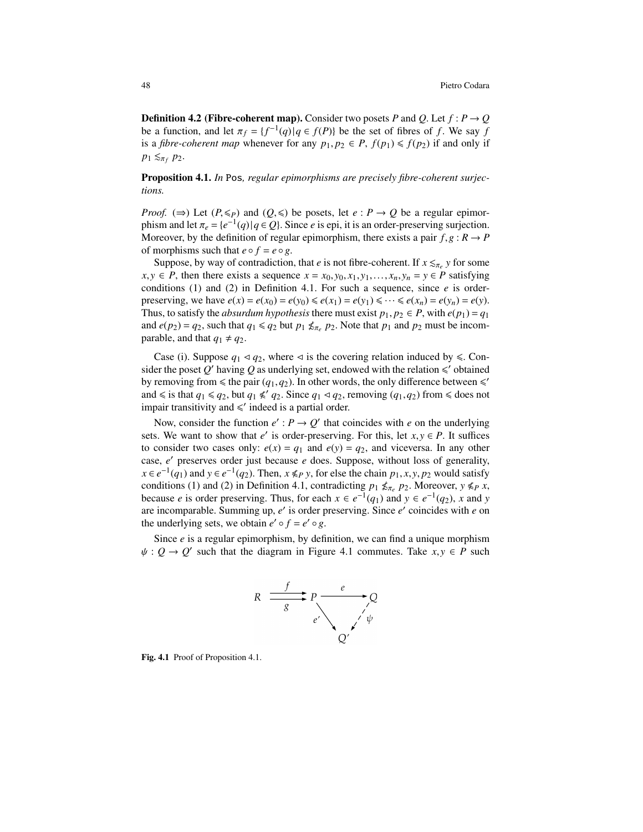**Definition 4.2 (Fibre-coherent map).** Consider two posets *P* and *Q*. Let  $f: P \rightarrow Q$ be a function, and let  $\pi_f = \{f^{-1}(q) | q \in f(P)\}$  be the set of fibres of *f*. We say *f* is a fibre-coherent man whenever for any *n*,  $p_2 \in P$ ,  $f(p_1) \le f(p_2)$  if and only if is a *fibre-coherent map* whenever for any  $p_1, p_2 \in P$ ,  $f(p_1) \leq f(p_2)$  if and only if  $p_1 \leq_{\pi_f} p_2$ .

Proposition 4.1. *In* Pos*, regular epimorphisms are precisely fibre-coherent surjections.*

*Proof.* ( $\Rightarrow$ ) Let  $(P, \leq_P)$  and  $(Q, \leq)$  be posets, let  $e : P \rightarrow Q$  be a regular epimorphism and let  $\pi_e = \{e^{-1}(q) | q \in Q\}$ . Since *e* is epi, it is an order-preserving surjection.<br>Moreover, by the definition of requier enjmorphism, there exists a pair f,  $g : R \to P$ Moreover, by the definition of regular epimorphism, there exists a pair  $f, g: R \to P$ of morphisms such that  $e \circ f = e \circ g$ .

Suppose, by way of contradiction, that *e* is not fibre-coherent. If  $x \leq_{\pi_e} y$  for some  $\sqrt{E}$ . *P* than there exists a sequence  $x = x_0$  is  $x_0$ ,  $y_0 = y_0 \leq P$  satisfying *x*, *y* ∈ *P*, then there exists a sequence  $x = x_0, y_0, x_1, y_1, \ldots, x_n, y_n = y \in P$  satisfying conditions (1) and (2) in Definition 4.1. For such a sequence, since *e* is orderpreserving, we have  $e(x) = e(x_0) = e(y_0) \le e(x_1) = e(y_1) \le \dots \le e(x_n) = e(y_n) = e(y)$ . Thus, to satisfy the *absurdum hypothesis* there must exist  $p_1, p_2 \in P$ , with  $e(p_1) = q_1$ and  $e(p_2) = q_2$ , such that  $q_1 \le q_2$  but  $p_1 \not\le \pi_e p_2$ . Note that  $p_1$  and  $p_2$  must be incomparable, and that  $q_1 \neq q_2$ .

Case (i). Suppose  $q_1 \triangleleft q_2$ , where  $\triangleleft$  is the covering relation induced by  $\leq$ . Consider the poset  $Q'$  having  $Q$  as underlying set, endowed with the relation  $\leq$ ' obtained by removing from  $\leq$  the pair  $(q_1, q_2)$ . In other words, the only difference between  $\leq$  and  $\leq$  is that  $q_1 \leq q_2$  but  $q_1 \leq q_2$ . Since  $q_1 \leq q_2$  removing  $(q_1, q_2)$  from  $\leq$  does not and  $\leq$  is that  $q_1 \leq q_2$ , but  $q_1 \leq$  $\sqrt{q_2}$ . Since  $q_1 \triangleleft q_2$ , removing  $(q_1, q_2)$  from  $\leq$  does not impair transitivity and  $\leq$ ' indeed is a partial order.

Now, consider the function  $e' : P \to Q'$  that coincides with *e* on the underlying sets. We want to show that *e'* is order-preserving. For this, let  $x, y \in P$ . It suffices to consider two cases only:  $e(x) = q_1$  and  $e(y) = q_2$ , and viceversa. In any other case, *e'* preserves order just because *e* does. Suppose, without loss of generality,  $x \in e^{-1}(q_1)$  and  $y \in e^{-1}(q_2)$ . Then,  $x \nleq p$ , for else the chain  $p_1, x, y, p_2$  would satisfy<br>conditions (1) and (2) in Definition 4.1, contradicting  $p_1 \nleq p_2$ . Moreover,  $y \nleq p$ , *x* conditions (1) and (2) in Definition 4.1, contradicting  $p_1 \nlessapprox_{\pi_e} p_2$ . Moreover,  $y \nlessapprox_{\pi} x$ , hence  $g$  is order presenting. Thus, for each  $x \in e^{-1}(g_1)$  and  $y \in e^{-1}(g_2)$ ,  $x$  and  $y$ because *e* is order preserving. Thus, for each  $x \in e^{-1}(q_1)$  and  $y \in e^{-1}(q_2)$ , *x* and *y* are incomparable. Summing up,  $e'$  is order preserving. Since  $e'$  coincides with  $e$  on the underlying sets, we obtain  $e' \circ f = e' \circ g$ .

Since *e* is a regular epimorphism, by definition, we can find a unique morphism  $\psi$ :  $Q \rightarrow Q'$  such that the diagram in Figure 4.1 commutes. Take  $x, y \in P$  such



Fig. 4.1 Proof of Proposition 4.1.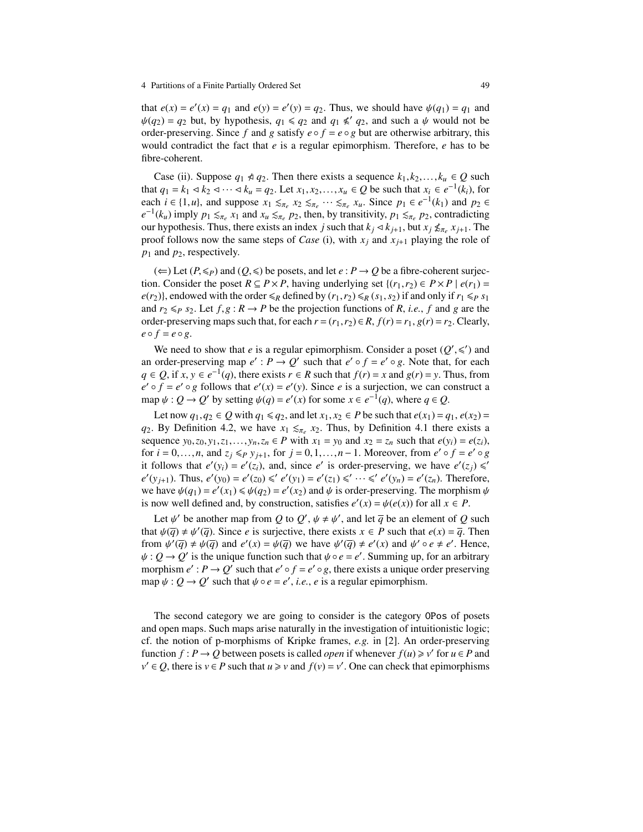that  $e(x) = e'(x) = q_1$  and  $e(y) = e'(y) = q_2$ . Thus, we should have  $\psi(q_1) = q_1$  and  $\psi(q_2) = q_2$  but by hypothesis  $q_1 \leq q_2$  and  $q_1 \leq q_2$  and such a  $\psi$  would not be  $\psi(q_2) = q_2$  but, by hypothesis,  $q_1 \le q_2$  and  $q_1 \le q_2$  and  $q_2 \le q_1 \le q_2$  $q_2$ , and such a  $\psi$  would not be  $q_2$  but are otherwise arbitrary this order-preserving. Since f and g satisfy  $e \circ f = e \circ g$  but are otherwise arbitrary, this would contradict the fact that *e* is a regular epimorphism. Therefore, *e* has to be fibre-coherent.

Case (ii). Suppose  $q_1 \ntriangleleft q_2$ . Then there exists a sequence  $k_1, k_2, \ldots, k_u \in Q$  such that  $q_1 = k_1 \triangleleft k_2 \triangleleft \cdots \triangleleft k_u = q_2$ . Let  $x_1, x_2, \ldots, x_u \in Q$  be such that  $x_i \in e^{-1}(k_i)$ , for each  $i \in \{1, u\}$ , and suppose  $x_1 \leq_{\pi_e} x_2 \leq_{\pi_e} \cdots \leq_{\pi_e} x_u$ . Since  $p_1 \in e^{-1}(k_1)$  and  $p_2 \in e^{-1}(k_2)$  imply  $p_1 \leq x_2$  and  $x \leq p_2$  then by transitivity  $p_1 \leq p_2$  contradicting  $e^{-1}(k_u)$  imply  $p_1 \leq_{\pi_e} x_1$  and  $x_u \leq_{\pi_e} p_2$ , then, by transitivity,  $p_1 \leq_{\pi_e} p_2$ , contradicting our hypothesis. Thus, there exists an index *j* such that  $k_j \ll k_{j+1}$ , but  $x_j \nleq_{\pi_e} x_{j+1}$ . The proof follows now the same steps of *Case* (i), with  $x_i$  and  $x_{i+1}$  playing the role of  $p_1$  and  $p_2$ , respectively.

(←) Let  $(P, ≤P)$  and  $(Q, ≤)$  be posets, and let  $e : P \rightarrow Q$  be a fibre-coherent surjection. Consider the poset  $R \subseteq P \times P$ , having underlying set  $\{(r_1, r_2) \in P \times P \mid e(r_1) =$  $e(r_2)$ }, endowed with the order  $\leq R$  defined by  $(r_1, r_2) \leq R$  ( $s_1, s_2$ ) if and only if  $r_1 \leq p s_1$ and  $r_2 \leq p$   $s_2$ . Let  $f, g: R \to P$  be the projection functions of *R*, *i.e.*, *f* and *g* are the order-preserving maps such that, for each  $r = (r_1, r_2) \in R$ ,  $f(r) = r_1$ ,  $g(r) = r_2$ . Clearly,  $e \circ f = e \circ g$ .

We need to show that *e* is a regular epimorphism. Consider a poset  $(Q', \leq')$  and order-preserving map  $e' : P \to Q'$  such that  $e' \circ f = e' \circ g$ . Note that, for each an order-preserving map  $e' : P \to Q'$  such that  $e' \circ f = e' \circ g$ . Note that, for each *q* ∈ *Q*, if *x*, *y* ∈ *e*<sup>-1</sup>(*q*), there exists *r* ∈ *R* such that *f*(*r*) = *x* and *g*(*r*) = *y*. Thus, from *e*<sup>*a*</sup> ⊙ *f* = *e*<sup>*i*</sup> ⊙ *a* follows that *e*<sup>*i*</sup>(*x*) = *e*<sup>*i*</sup>(*x*). Since *e* is a surjection,  $e' \circ f = e' \circ g$  follows that  $e'(x) = e'(y)$ . Since *e* is a surjection, we can construct a map  $\psi : Q \to Q'$  by setting  $\psi(q) = e'(x)$  for some  $x \in e^{-1}(q)$ , where  $q \in Q$ .

Let now  $q_1, q_2 \in Q$  with  $q_1 \leq q_2$ , and let  $x_1, x_2 \in P$  be such that  $e(x_1) = q_1, e(x_2) =$ *q*<sub>2</sub>. By Definition 4.2, we have  $x_1 \leq_{\pi_e} x_2$ . Thus, by Definition 4.1 there exists a sequence  $y_1 \leq_{\pi_e} y_2 \leq_{\pi_e} y_2 \leq_{\pi_e} y_2 \leq_{\pi_e} y_2 \leq_{\pi_e} y_2 \leq_{\pi_e} y_2 \leq_{\pi_e} y_2 \leq_{\pi_e} y_2 \leq_{\pi_e} y_2 \leq_{\pi_e} y_2 \leq_{\pi$ sequence  $y_0, z_0, y_1, z_1, \ldots, y_n, z_n \in P$  with  $x_1 = y_0$  and  $x_2 = z_n$  such that  $e(y_i) = e(z_i)$ , for  $i = 0, \ldots, n$ , and  $z_j \leq p y_{j+1}$ , for  $j = 0, 1, \ldots, n-1$ . Moreover, from  $e' \circ f = e' \circ g$ <br>it follows that  $e'(y) - e'(z)$  and since  $e'$  is order-preserving, we have  $e'(z) \leq y$ it follows that  $e'(y_i) = e'(z_i)$ , and, since *e*' is order-preserving, we have  $e'(z_j) \leq$ '  $e'(y_{j+1})$ . Thus,  $e'(y_0) = e'(z_0) \le e'(y_1) = e'(z_1) \le e'(z_2) \le e'(y_n) = e'(z_n)$ . Therefore, we have  $\psi(q_1) = e'(x_1) \le \psi(q_2) = e'(x_2)$  and  $\psi$  is order-preserving. The morphism  $\psi$  is now well defined and by construction satisfies  $e'(x) = \psi(e(x))$  for all  $x \in P$ is now well defined and, by construction, satisfies  $e'(x) = \psi(e(x))$  for all  $x \in P$ .

Let  $\psi'$  be another map from *Q* to *Q'*,  $\psi \neq \psi'$ , and let  $\overline{q}$  be an element of *Q* such t  $\psi(\overline{q}) + \psi'(\overline{q})$ . Since *e* is surjective, there exists  $x \in P$  such that  $e(x) = \overline{q}$ . Then that  $\psi(\overline{q}) \neq \psi'(\overline{q})$ . Since *e* is surjective, there exists  $x \in P$  such that  $e(x) = \overline{q}$ . Then<br>from  $\psi'(\overline{q}) \neq \psi(\overline{q})$  and  $e'(x) = \psi(\overline{q})$  we have  $\psi'(\overline{q}) \neq e'(x)$  and  $\psi' \circ e \neq e'$ . Hence from  $\psi'(\overline{q}) \neq \psi(\overline{q})$  and  $e'(x) = \psi(\overline{q})$  we have  $\psi'(\overline{q}) \neq e'(x)$  and  $\psi' \circ e \neq e'$ . Hence,  $\psi \circ e \to 0'$  is the unique function such that  $\psi \circ e = e'$ . Summing up for an arbitrary  $\psi$ :  $Q \rightarrow Q'$  is the unique function such that  $\psi \circ e = e'$ . Summing up, for an arbitrary<br>morphism  $e' : P \rightarrow Q'$  such that  $e' \circ f = e' \circ g$  there exists a unique order preserving morphism  $e'$ :  $P \rightarrow Q'$  such that  $e' \circ f = e' \circ g$ , there exists a unique order preserving map  $\psi : Q \to Q'$  such that  $\psi \circ e = e'$ , *i.e.*, *e* is a regular epimorphism.

The second category we are going to consider is the category OPos of posets and open maps. Such maps arise naturally in the investigation of intuitionistic logic; cf. the notion of p-morphisms of Kripke frames, *e.g.* in [2]. An order-preserving function  $f : P \to Q$  between posets is called *open* if whenever  $f(u) \geq v'$  for  $u \in P$  and  $v' \in Q$ , there is  $v \in P$  such that  $u \ge v$  and  $f(v) = v'$ . One can check that epimorphisms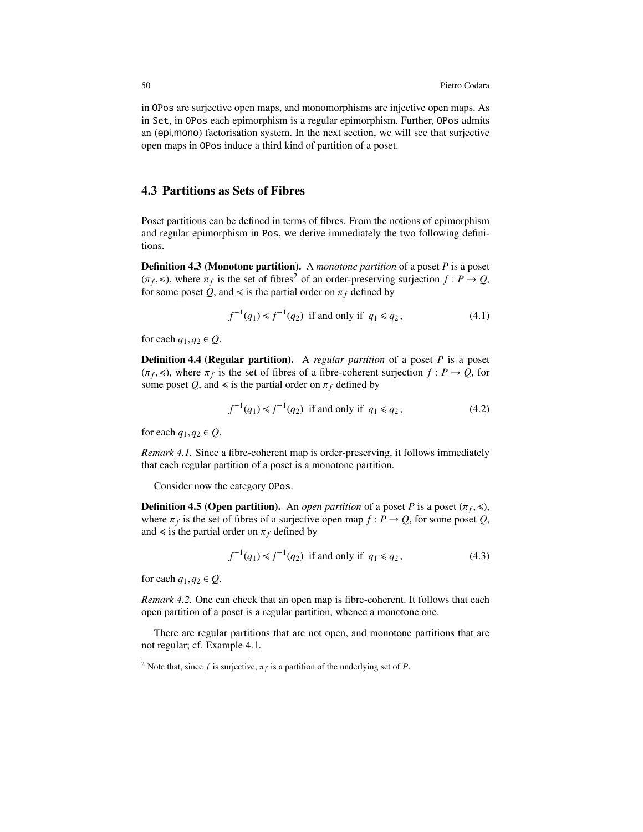in OPos are surjective open maps, and monomorphisms are injective open maps. As in Set, in OPos each epimorphism is a regular epimorphism. Further, OPos admits an (epi,mono) factorisation system. In the next section, we will see that surjective open maps in OPos induce a third kind of partition of a poset.

# 4.3 Partitions as Sets of Fibres

Poset partitions can be defined in terms of fibres. From the notions of epimorphism and regular epimorphism in Pos, we derive immediately the two following definitions.

Definition 4.3 (Monotone partition). A *monotone partition* of a poset *P* is a poset  $(\pi_f, \leq)$ , where  $\pi_f$  is the set of fibres<sup>2</sup> of an order-preserving surjection  $f : P \to Q$ , for some poset  $Q$  and  $\leq$  is the partial order on  $\pi_c$  defined by for some poset *Q*, and  $\le$  is the partial order on  $\pi_f$  defined by

$$
f^{-1}(q_1) \le f^{-1}(q_2) \text{ if and only if } q_1 \le q_2, \tag{4.1}
$$

for each  $q_1, q_2 \in Q$ .

Definition 4.4 (Regular partition). A *regular partition* of a poset *P* is a poset  $(\pi_f, \leq)$ , where  $\pi_f$  is the set of fibres of a fibre-coherent surjection  $f : P \to Q$ , for some poset *Q* and  $\leq$  is the partial order on  $\pi_c$  defined by some poset *Q*, and  $\le$  is the partial order on  $\pi_f$  defined by

$$
f^{-1}(q_1) \le f^{-1}(q_2) \text{ if and only if } q_1 \le q_2, \tag{4.2}
$$

for each  $q_1, q_2 \in Q$ .

*Remark 4.1.* Since a fibre-coherent map is order-preserving, it follows immediately that each regular partition of a poset is a monotone partition.

Consider now the category OPos.

**Definition 4.5 (Open partition).** An *open partition* of a poset *P* is a poset  $(\pi_f, \preccurlyeq)$ , where  $\pi_c$  is the set of fibres of a surjective open map  $f : P \rightarrow Q$  for some poset *Q* where  $\pi_f$  is the set of fibres of a surjective open map  $f : P \to Q$ , for some poset *Q*, and  $\prec$  is the partial order on  $\pi_s$  defined by and  $\leq$  is the partial order on  $\pi_f$  defined by

$$
f^{-1}(q_1) \le f^{-1}(q_2)
$$
 if and only if  $q_1 \le q_2$ , (4.3)

for each  $q_1, q_2 \in Q$ .

*Remark 4.2.* One can check that an open map is fibre-coherent. It follows that each open partition of a poset is a regular partition, whence a monotone one.

There are regular partitions that are not open, and monotone partitions that are not regular; cf. Example 4.1.

<sup>&</sup>lt;sup>2</sup> Note that, since *f* is surjective,  $\pi_f$  is a partition of the underlying set of *P*.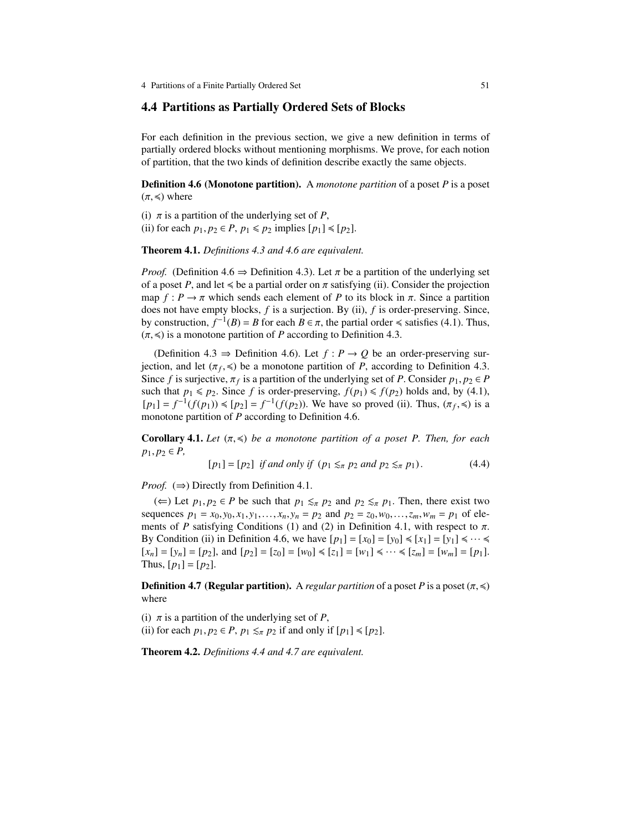#### 4.4 Partitions as Partially Ordered Sets of Blocks

For each definition in the previous section, we give a new definition in terms of partially ordered blocks without mentioning morphisms. We prove, for each notion of partition, that the two kinds of definition describe exactly the same objects.

Definition 4.6 (Monotone partition). A *monotone partition* of a poset *P* is a poset  $(\pi,\leq)$  where

(i)  $\pi$  is a partition of the underlying set of *P*, (ii) for each  $p_1, p_2 \in P$ ,  $p_1 \leq p_2$  implies  $[p_1] \leq [p_2]$ .

Theorem 4.1. *Definitions 4.3 and 4.6 are equivalent.*

*Proof.* (Definition 4.6  $\Rightarrow$  Definition 4.3). Let  $\pi$  be a partition of the underlying set of a poset *P*, and let  $\leq$  be a partial order on  $\pi$  satisfying (ii). Consider the projection map  $f: P \to \pi$  which sends each element of *P* to its block in  $\pi$ . Since a partition does not have empty blocks, *f* is a surjection. By (ii), *f* is order-preserving. Since, by construction,  $\hat{f}^{-1}(B) = B$  for each  $B \in \pi$ , the partial order  $\leq$  satisfies (4.1). Thus,  $(\pi \leq)$  is a monotone partition of *P* according to Definition 4.3  $(\pi,\preccurlyeq)$  is a monotone partition of *P* according to Definition 4.3.

(Definition 4.3 ⇒ Definition 4.6). Let  $f: P \rightarrow Q$  be an order-preserving surjection, and let  $(\pi_f, \preccurlyeq)$  be a monotone partition of *P*, according to Definition 4.3.<br>Since *f* is surjective  $\pi_c$  is a partition of the underlying set of *P*. Consider *n*, *n*, *∈ P*. Since *f* is surjective,  $\pi_f$  is a partition of the underlying set of *P*. Consider  $p_1, p_2 \in P$ <br>such that  $p_1 \leq p_2$ . Since *f* is order-preserving  $f(p_1) \leq f(p_2)$  holds and by (4.1) such that  $p_1 \leq p_2$ . Since *f* is order-preserving,  $f(p_1) \leq f(p_2)$  holds and, by (4.1),  $[p_1] = f^{-1}(f(p_1)) \leq [p_2] = f^{-1}(f(p_2))$ . We have so proved (ii). Thus,  $(\pi_f, \leq)$  is a monotone partition of *P* according to Definition 4.6 monotone partition of *P* according to Definition 4.6.

**Corollary 4.1.** *Let*  $(\pi, \leq)$  *be a monotone partition of a poset P. Then, for each*  $p_1, p_2 \in P$ ,

$$
[p_1] = [p_2] \text{ if and only if } (p_1 \leq_{\pi} p_2 \text{ and } p_2 \leq_{\pi} p_1). \tag{4.4}
$$

*Proof.*  $(\Rightarrow)$  Directly from Definition 4.1.

(∈) Let  $p_1, p_2 \in P$  be such that  $p_1 \leq_{\pi} p_2$  and  $p_2 \leq_{\pi} p_1$ . Then, there exist two sequences  $p_1 = x_0, y_0, x_1, y_1, \ldots, x_n, y_n = p_2$  and  $p_2 = z_0, w_0, \ldots, z_m, w_m = p_1$  of elements of *P* satisfying Conditions (1) and (2) in Definition 4.1, with respect to  $\pi$ . By Condition (ii) in Definition 4.6, we have  $[p_1] = [x_0] = [y_0] \le [x_1] = [y_1] \le \cdots \le$  $[x_n] = [y_n] = [p_2]$ , and  $[p_2] = [z_0] = [w_0] \leq [z_1] = [w_1] \leq \cdots \leq [z_m] = [w_m] = [p_1]$ . Thus,  $[p_1] = [p_2]$ .

**Definition 4.7 (Regular partition).** A *regular partition* of a poset *P* is a poset  $(\pi, \leq)$ where

(i)  $\pi$  is a partition of the underlying set of *P*, (ii) for each  $p_1, p_2 \in P$ ,  $p_1 \leq_{\pi} p_2$  if and only if  $[p_1] \leq [p_2]$ .

Theorem 4.2. *Definitions 4.4 and 4.7 are equivalent.*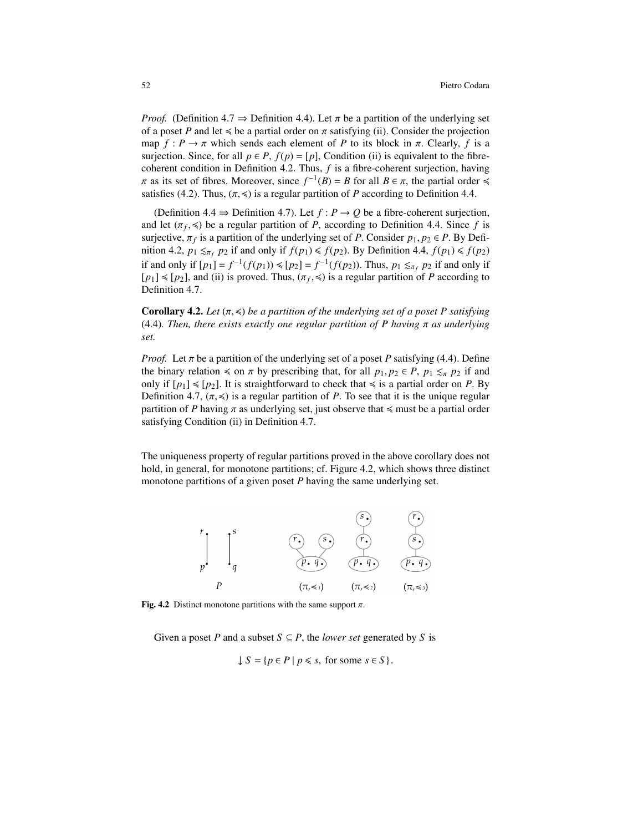*Proof.* (Definition 4.7  $\Rightarrow$  Definition 4.4). Let  $\pi$  be a partition of the underlying set of a poset *P* and let  $\leq$  be a partial order on  $\pi$  satisfying (ii). Consider the projection map  $f: P \to \pi$  which sends each element of *P* to its block in  $\pi$ . Clearly, *f* is a surjection. Since, for all  $p \in P$ ,  $f(p) = [p]$ , Condition (ii) is equivalent to the fibrecoherent condition in Definition 4.2. Thus, *f* is a fibre-coherent surjection, having  $π$  as its set of fibres. Moreover, since  $f^{-1}(B) = B$  for all  $B ∈ π$ , the partial order  $\preccurlyeq$  satisfies (*A* 2). Thus  $(π ≤)$  is a reqular partition of *P* according to Definition *A A* satisfies (4.2). Thus,  $(\pi, \leq)$  is a regular partition of *P* according to Definition 4.4.

(Definition 4.4 ⇒ Definition 4.7). Let  $f : P \to Q$  be a fibre-coherent surjection, and let  $(\pi_f, \preccurlyeq)$  be a regular partition of *P*, according to Definition 4.4. Since *f* is<br>surjective  $\pi_f$  is a partition of the underlying set of *P*. Consider *n*,  $p_i \in P$ . By Defisurjective,  $\pi_f$  is a partition of the underlying set of *P*. Consider  $p_1, p_2 \in P$ . By Definition 4.2,  $p_1 \leq p_2 \leq p_3$  if and only if  $f(p_1) \leq f(p_2)$ . By Definition 4.4,  $f(p_1) \leq f(p_3)$ nition 4.2,  $p_1 \leq_{\pi_f} p_2$  if and only if  $f(p_1) \leq f(p_2)$ . By Definition 4.4,  $f(p_1) \leq f(p_2)$ if and only if  $[p_1] = f^{-1}(f(p_1)) \leq [p_2] = f^{-1}(f(p_2))$ . Thus,  $p_1 \leq_{\pi f} p_2$  if and only if  $[p_1] \leq [p_2]$ , and (ii) is proved. Thus,  $(\pi_f) \leq$  is a regular partition of *P* according to Definition 4.7 Definition 4.7.

**Corollary 4.2.** *Let*  $(\pi, \leq)$  *be a partition of the underlying set of a poset P satisfying* (4.4)*. Then, there exists exactly one regular partition of P having* π *as underlying set.*

*Proof.* Let  $\pi$  be a partition of the underlying set of a poset *P* satisfying (4.4). Define the binary relation  $\leq$  on  $\pi$  by prescribing that, for all  $p_1, p_2 \in P$ ,  $p_1 \leq_{\pi} p_2$  if and only if  $[p_1] \preccurlyeq [p_2]$ . It is straightforward to check that  $\preccurlyeq$  is a partial order on *P*. By Definition 4.7,  $(\pi, \leq)$  is a regular partition of *P*. To see that it is the unique regular partition of *P* having  $\pi$  as underlying set, just observe that  $\leq$  must be a partial order satisfying Condition (ii) in Definition 4.7.

The uniqueness property of regular partitions proved in the above corollary does not hold, in general, for monotone partitions; cf. Figure 4.2, which shows three distinct monotone partitions of a given poset *P* having the same underlying set.



Fig. 4.2 Distinct monotone partitions with the same support  $\pi$ .

Given a poset *P* and a subset  $S \subseteq P$ , the *lower set* generated by *S* is

 $\downarrow$  *S* = {*p*  $\in$  *P* | *p*  $\le$  *s*, for some *s*  $\in$  *S* }.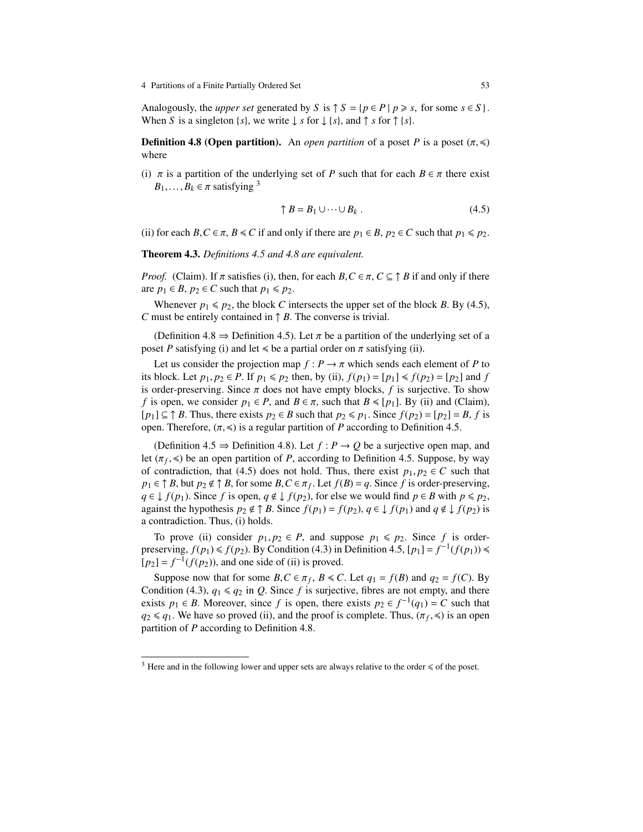4 Partitions of a Finite Partially Ordered Set 53

Analogously, the *upper set* generated by *S* is  $\uparrow$  *S* = { $p \in P | p \geq s$ , for some  $s \in S$ }. When *S* is a singleton {*s*}, we write  $\downarrow$  *s* for  $\downarrow$  {*s*}, and  $\uparrow$  *s* for  $\uparrow$  {*s*}.

**Definition 4.8 (Open partition).** An *open partition* of a poset *P* is a poset  $(\pi, \leq)$ where

(i)  $\pi$  is a partition of the underlying set of *P* such that for each  $B \in \pi$  there exist  $B_1, \ldots, B_k \in \pi$  satisfying <sup>3</sup>

$$
\uparrow B = B_1 \cup \dots \cup B_k \tag{4.5}
$$

(ii) for each  $B, C \in \pi$ ,  $B \le C$  if and only if there are  $p_1 \in B$ ,  $p_2 \in C$  such that  $p_1 \le p_2$ .

Theorem 4.3. *Definitions 4.5 and 4.8 are equivalent.*

*Proof.* (Claim). If  $\pi$  satisfies (i), then, for each  $B, C \in \pi$ ,  $C \subseteq \uparrow B$  if and only if there are  $p_1 \in B$ ,  $p_2 \in C$  such that  $p_1 \leq p_2$ .

Whenever  $p_1 \leq p_2$ , the block *C* intersects the upper set of the block *B*. By (4.5), *C* must be entirely contained in ↑ *B*. The converse is trivial.

(Definition 4.8  $\Rightarrow$  Definition 4.5). Let  $\pi$  be a partition of the underlying set of a poset *P* satisfying (i) and let  $\leq$  be a partial order on  $\pi$  satisfying (ii).

Let us consider the projection map  $f : P \to \pi$  which sends each element of *P* to its block. Let  $p_1, p_2 \in P$ . If  $p_1 \leq p_2$  then, by (ii),  $f(p_1) = [p_1] \leq f(p_2) = [p_2]$  and f is order-preserving. Since  $\pi$  does not have empty blocks,  $f$  is surjective. To show *f* is open, we consider  $p_1 \in P$ , and  $B \in \pi$ , such that  $B \leq p_1$ . By (ii) and (Claim),  $[p_1] \subseteq \uparrow B$ . Thus, there exists  $p_2 \in B$  such that  $p_2 \leq p_1$ . Since  $f(p_2) = [p_2] = B$ , f is open. Therefore,  $(\pi, \leq)$  is a regular partition of *P* according to Definition 4.5.

(Definition 4.5  $\Rightarrow$  Definition 4.8). Let  $f : P \rightarrow Q$  be a surjective open map, and let  $(\pi_f, \preccurlyeq)$  be an open partition of *P*, according to Definition 4.5. Suppose, by way of contradiction, that (4.5) does not hold. Thus, there exist  $p_1, p_2 \in C$  such that  $p_1 \in \uparrow B$ , but  $p_2 \notin \uparrow B$ , for some  $B, C \in \pi_f$ . Let  $f(B) = q$ . Since *f* is order-preserving, *q* ∈ ↓ *f*(*p*<sub>1</sub>). Since *f* is open, *q* ∉ ↓ *f*(*p*<sub>2</sub>), for else we would find *p* ∈ *B* with *p* ≤ *p*<sub>2</sub>, against the hypothesis  $p_2 \notin \uparrow B$ . Since  $f(p_1) = f(p_2)$ ,  $q \in \downarrow f(p_1)$  and  $q \notin \downarrow f(p_2)$  is a contradiction. Thus, (i) holds.

To prove (ii) consider  $p_1, p_2 \in P$ , and suppose  $p_1 \leq p_2$ . Since f is orderpreserving, *f*(*p*<sub>1</sub>) ≤ *f*(*p*<sub>2</sub>). By Condition (4.3) in Definition 4.5, [*p*<sub>1</sub>] = *f*<sup>-1</sup>(*f*(*p*<sub>1</sub>)) ≼  $[p_2] = f^{-1}(f(p_2))$ , and one side of (ii) is proved.

Suppose now that for some  $B, C \in \pi_f$ ,  $B \le C$ . Let  $q_1 = f(B)$  and  $q_2 = f(C)$ . By notition (4.3),  $q_1 \le q_2$  in O. Since *f* is surjective, fibres are not empty, and there Condition (4.3),  $q_1 \leq q_2$  in *Q*. Since *f* is surjective, fibres are not empty, and there exists  $p_1 \in B$ . Moreover, since f is open, there exists  $p_2 \in f^{-1}(q_1) = C$  such that  $q_2 \le q_1$ . We have so proved (ii), and the proof is complete. Thus,  $(\pi_f, \preccurlyeq)$  is an open partition of *P* according to Definition 4.8 partition of *P* according to Definition 4.8.

<sup>&</sup>lt;sup>3</sup> Here and in the following lower and upper sets are always relative to the order  $\le$  of the poset.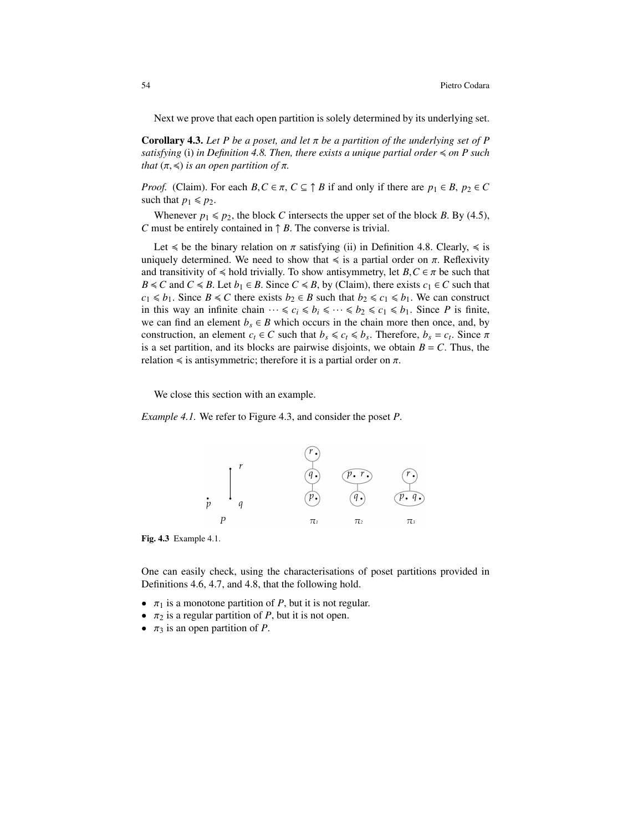Next we prove that each open partition is solely determined by its underlying set.

Corollary 4.3. *Let P be a poset, and let* π *be a partition of the underlying set of P satisfying* (i) *in Definition 4.8. Then, there exists a unique partial order*  $\leq$  *on P such that*  $(\pi, \leq)$  *is an open partition of*  $\pi$ *.* 

*Proof.* (Claim). For each  $B, C \in \pi$ ,  $C \subseteq \uparrow B$  if and only if there are  $p_1 \in B$ ,  $p_2 \in C$ such that  $p_1 \leq p_2$ .

Whenever  $p_1 \leq p_2$ , the block *C* intersects the upper set of the block *B*. By (4.5), *C* must be entirely contained in ↑ *B*. The converse is trivial.

Let  $\leq$  be the binary relation on  $\pi$  satisfying (ii) in Definition 4.8. Clearly,  $\leq$  is uniquely determined. We need to show that  $\leq$  is a partial order on  $\pi$ . Reflexivity and transitivity of  $\leq$  hold trivially. To show antisymmetry, let *B*, *C*  $\in \pi$  be such that *B* ≤ *C* and  $C$  ≤ *B*. Let *b*<sub>1</sub> ∈ *B*. Since  $C$  ≤ *B*, by (Claim), there exists  $c_1 \in C$  such that *c*<sub>1</sub> ≤ *b*<sub>1</sub>. Since *B* ≤ *C* there exists *b*<sub>2</sub> ∈ *B* such that *b*<sub>2</sub> ≤ *c*<sub>1</sub> ≤ *b*<sub>1</sub>. We can construct in this way an infinite chain  $\cdots \leq c_i \leq b_i \leq \cdots \leq b_2 \leq c_1 \leq b_1$ . Since *P* is finite, we can find an element  $b_s \in B$  which occurs in the chain more then once, and, by construction, an element  $c_t \in C$  such that  $b_s \leq c_t \leq b_s$ . Therefore,  $b_s = c_t$ . Since  $\pi$ <br>is a set partition and its blocks are pairwise disjoints, we obtain  $B - C$ . Thus the is a set partition, and its blocks are pairwise disjoints, we obtain  $B = C$ . Thus, the relation  $\leq$  is antisymmetric; therefore it is a partial order on  $\pi$ .

We close this section with an example.

*Example 4.1.* We refer to Figure 4.3, and consider the poset *P*.



Fig. 4.3 Example 4.1.

One can easily check, using the characterisations of poset partitions provided in Definitions 4.6, 4.7, and 4.8, that the following hold.

- $\pi_1$  is a monotone partition of *P*, but it is not regular.
- $\pi_2$  is a regular partition of *P*, but it is not open.
- $\pi_3$  is an open partition of *P*.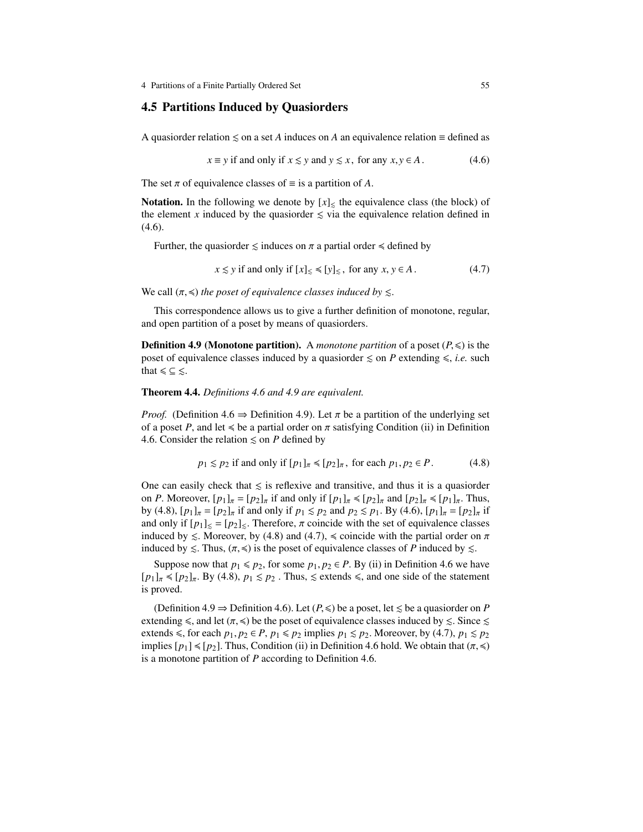4 Partitions of a Finite Partially Ordered Set 55

### 4.5 Partitions Induced by Quasiorders

A quasiorder relation  $\leq$  on a set *A* induces on *A* an equivalence relation  $\equiv$  defined as

$$
x \equiv y \text{ if and only if } x \le y \text{ and } y \le x, \text{ for any } x, y \in A. \tag{4.6}
$$

The set  $\pi$  of equivalence classes of  $\equiv$  is a partition of *A*.

**Notation.** In the following we denote by  $[x]_5$  the equivalence class (the block) of the element *x* induced by the quasion defined  $\leq$  via the equivalence relation defined in (4.6).

Further, the quasiorder  $\leq$  induces on  $\pi$  a partial order  $\leq$  defined by

$$
x \lesssim y
$$
 if and only if  $[x]_{\leq} \leq [y]_{\leq}$ , for any  $x, y \in A$ . (4.7)

We call  $(\pi,\leq)$  *the poset of equivalence classes induced by*  $\leq$ .

This correspondence allows us to give a further definition of monotone, regular, and open partition of a poset by means of quasiorders.

**Definition 4.9 (Monotone partition).** A *monotone partition* of a poset  $(P, \leq)$  is the poset of equivalence classes induced by a quasiorder  $\leq$  on *P* extending  $\leq$ , *i.e.* such that  $\leq \leq \leq$ .

Theorem 4.4. *Definitions 4.6 and 4.9 are equivalent.*

*Proof.* (Definition 4.6  $\Rightarrow$  Definition 4.9). Let  $\pi$  be a partition of the underlying set of a poset *P*, and let  $\leq$  be a partial order on  $\pi$  satisfying Condition (ii) in Definition 4.6. Consider the relation  $\leq$  on *P* defined by

$$
p_1 \lesssim p_2 \text{ if and only if } [p_1]_\pi \leq [p_2]_\pi, \text{ for each } p_1, p_2 \in P. \tag{4.8}
$$

One can easily check that  $\leq$  is reflexive and transitive, and thus it is a quasiorder on *P*. Moreover,  $[p_1]_\pi = [p_2]_\pi$  if and only if  $[p_1]_\pi \leq [p_2]_\pi$  and  $[p_2]_\pi \leq [p_1]_\pi$ . Thus, by (4.8),  $[p_1]_\pi = [p_2]_\pi$  if and only if  $p_1 \leq p_2$  and  $p_2 \leq p_1$ . By (4.6),  $[p_1]_\pi = [p_2]_\pi$  if and only if  $[p_1]_{\leq} = [p_2]_{\leq}$ . Therefore,  $\pi$  coincide with the set of equivalence classes induced by  $\leq$ . Moreover, by (4.8) and (4.7),  $\leq$  coincide with the partial order on  $\pi$ induced by  $\leq$ . Thus,  $(\pi, \leq)$  is the poset of equivalence classes of *P* induced by  $\leq$ .

Suppose now that  $p_1 \leq p_2$ , for some  $p_1, p_2 \in P$ . By (ii) in Definition 4.6 we have  $[p_1]_\pi \leq [p_2]_\pi$ . By (4.8),  $p_1 \leq p_2$ . Thus,  $\leq$  extends  $\leq$ , and one side of the statement is proved.

(Definition 4.9  $\Rightarrow$  Definition 4.6). Let (*P*, ≤) be a poset, let  $\leq$  be a quasiorder on *P* extending  $\leq$ , and let  $(\pi,\leq)$  be the poset of equivalence classes induced by  $\leq$ . Since  $\leq$ extends  $\leq$ , for each  $p_1, p_2 \in P$ ,  $p_1 \leq p_2$  implies  $p_1 \leq p_2$ . Moreover, by (4.7),  $p_1 \leq p_2$ implies  $[p_1] \leq [p_2]$ . Thus, Condition (ii) in Definition 4.6 hold. We obtain that  $(\pi, \leq)$ is a monotone partition of *P* according to Definition 4.6.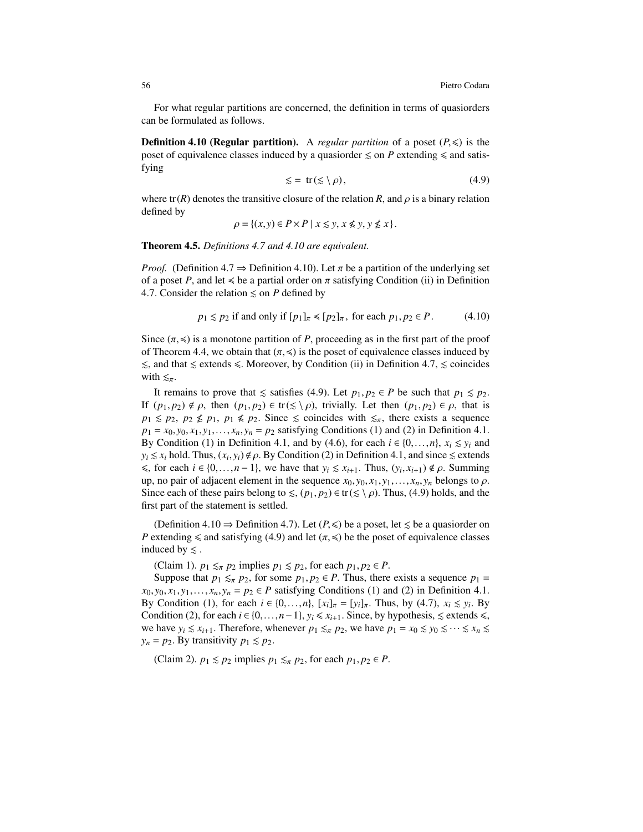For what regular partitions are concerned, the definition in terms of quasiorders can be formulated as follows.

**Definition 4.10 (Regular partition).** A *regular partition* of a poset  $(P, \leq)$  is the poset of equivalence classes induced by a quasiorder  $\leq$  on *P* extending  $\leq$  and satisfying

$$
\leqslant = \text{tr}(\leqslant \setminus \rho),\tag{4.9}
$$

where tr (*R*) denotes the transitive closure of the relation *R*, and  $\rho$  is a binary relation defined by

$$
\rho = \{(x, y) \in P \times P \mid x \leq y, x \leq y, y \nleq x\}.
$$

Theorem 4.5. *Definitions 4.7 and 4.10 are equivalent.*

*Proof.* (Definition 4.7  $\Rightarrow$  Definition 4.10). Let  $\pi$  be a partition of the underlying set of a poset *P*, and let  $\leq$  be a partial order on  $\pi$  satisfying Condition (ii) in Definition 4.7. Consider the relation  $\leq$  on *P* defined by

$$
p_1 \lesssim p_2 \text{ if and only if } [p_1]_\pi \leq [p_2]_\pi, \text{ for each } p_1, p_2 \in P. \tag{4.10}
$$

Since  $(\pi, \leq)$  is a monotone partition of *P*, proceeding as in the first part of the proof of Theorem 4.4, we obtain that  $(\pi,\preccurlyeq)$  is the poset of equivalence classes induced by  $\le$ , and that  $\le$  extends  $\le$ . Moreover, by Condition (ii) in Definition 4.7,  $\le$  coincides with  $\leq_{\pi}$ .

It remains to prove that ≤ satisfies (4.9). Let  $p_1, p_2 \text{ ∈ } P$  be such that  $p_1 ≤ p_2$ . If  $(p_1, p_2) \notin \rho$ , then  $(p_1, p_2) \in tr(\leq \ \rho)$ , trivially. Let then  $(p_1, p_2) \in \rho$ , that is  $p_1 \leq p_2$ ,  $p_2 \nleq p_1$ ,  $p_1 \nleq p_2$ . Since  $\leq$  coincides with  $\leq_{\pi}$ , there exists a sequence  $p_1 = x_0, y_0, x_1, y_1, \ldots, x_n, y_n = p_2$  satisfying Conditions (1) and (2) in Definition 4.1. By Condition (1) in Definition 4.1, and by (4.6), for each  $i \in \{0, \ldots, n\}$ ,  $x_i \le y_i$  and  $y_i \leq x_i$  hold. Thus,  $(x_i, y_i) \notin \rho$ . By Condition (2) in Definition 4.1, and since  $\leq$  extends  $\leq$  for each  $i \in \{0, \ldots, n-1\}$  we have that  $y_i \leq x_i$ . Thus,  $(y_i, y_{i+1}) \notin \rho$ . Summing  $\leq$ , for each *i* ∈ {0,...,*n* − 1}, we have that *y<sub>i</sub>*  $\leq$  *x*<sub>*i*+1</sub>. Thus,  $(y_i, x_{i+1}) \notin ρ$ . Summing  $y_i$  and  $y_i$  and  $y_i$  and  $y_i$  and  $y_i$  and  $y_i$  and  $y_i$  and  $y_i$  and  $y_i$  and  $y_i$  and  $y_i$  and  $y_i$  and  $y_i$ up, no pair of adjacent element in the sequence  $x_0, y_0, x_1, y_1, \ldots, x_n, y_n$  belongs to  $\rho$ . Since each of these pairs belong to  $\leq$ ,  $(p_1, p_2) \in \text{tr}(\leq \setminus \rho)$ . Thus, (4.9) holds, and the first part of the statement is settled.

(Definition 4.10  $\Rightarrow$  Definition 4.7). Let (*P*, ≤) be a poset, let  $\leq$  be a quasiorder on *P* extending  $\le$  and satisfying (4.9) and let ( $\pi$ , $\le$ ) be the poset of equivalence classes induced by  $\leq$ .

(Claim 1).  $p_1 \leq_{\pi} p_2$  implies  $p_1 \leq p_2$ , for each  $p_1, p_2 \in P$ .

Suppose that  $p_1 \leq \pi p_2$ , for some  $p_1, p_2 \in P$ . Thus, there exists a sequence  $p_1 =$  $x_0, y_0, x_1, y_1, \ldots, x_n, y_n = p_2 \in P$  satisfying Conditions (1) and (2) in Definition 4.1. By Condition (1), for each  $i \in \{0, \ldots, n\}$ ,  $[x_i]_{\pi} = [y_i]_{\pi}$ . Thus, by (4.7),  $x_i \leq y_i$ . By Condition (2) for each  $i \in \{0, \ldots, n\}$ ,  $y_i \leq y_i$ . Since by hypothesis  $\leq$  extends  $\leq$ Condition (2), for each  $i \in \{0, ..., n-1\}$ ,  $y_i \le x_{i+1}$ . Since, by hypothesis,  $\le$  extends  $\le$ , we have  $y_i \le x_{i+1}$ . Therefore, whenever  $p_1 \le \pi p_2$ , we have  $p_1 = x_0 \le y_0 \le \cdots \le x_n \le$  $y_n = p_2$ . By transitivity  $p_1 \leq p_2$ .

(Claim 2).  $p_1 \leq p_2$  implies  $p_1 \leq_{\pi} p_2$ , for each  $p_1, p_2 \in P$ .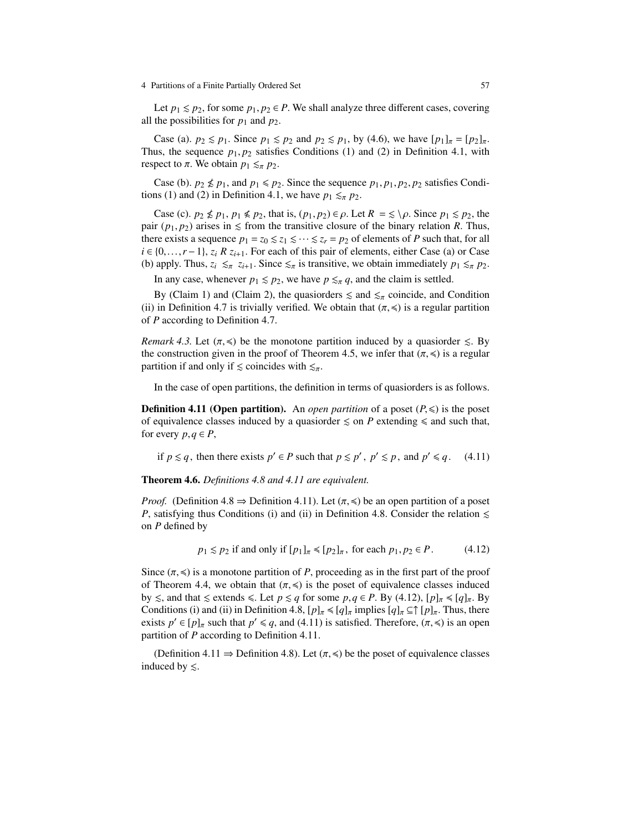#### 4 Partitions of a Finite Partially Ordered Set 57

Let  $p_1 \leq p_2$ , for some  $p_1, p_2 \in P$ . We shall analyze three different cases, covering all the possibilities for  $p_1$  and  $p_2$ .

Case (a). *p*<sub>2</sub> ≤ *p*<sub>1</sub>. Since *p*<sub>1</sub> ≤ *p*<sub>2</sub> and *p*<sub>2</sub> ≤ *p*<sub>1</sub>, by (4.6), we have  $[p_1]_\pi = [p_2]_\pi$ . Thus, the sequence  $p_1, p_2$  satisfies Conditions (1) and (2) in Definition 4.1, with respect to  $\pi$ . We obtain  $p_1 \leq_{\pi} p_2$ .

Case (b).  $p_2 \nleq p_1$ , and  $p_1 \nleq p_2$ . Since the sequence  $p_1, p_1, p_2, p_2$  satisfies Conditions (1) and (2) in Definition 4.1, we have  $p_1 \leq_{\pi} p_2$ .

Case (c).  $p_2 \nleq p_1$ ,  $p_1 \nleq p_2$ , that is,  $(p_1, p_2) \in \rho$ . Let  $R = \leq \rho$ . Since  $p_1 \leq p_2$ , the pair  $(p_1, p_2)$  arises in  $\leq$  from the transitive closure of the binary relation *R*. Thus, there exists a sequence  $p_1 = z_0 \leq z_1 \leq \cdots \leq z_r = p_2$  of elements of *P* such that, for all  $i \in \{0, \ldots, r-1\}$ ,  $z_i$  *R*  $z_{i+1}$ . For each of this pair of elements, either Case (a) or Case (b) apply. Thus,  $z_i \leq \pi z_{i+1}$ . Since  $\leq \pi$  is transitive, we obtain immediately  $p_1 \leq \pi p_2$ .

In any case, whenever  $p_1 \leq p_2$ , we have  $p \leq_{\pi} q$ , and the claim is settled.

By (Claim 1) and (Claim 2), the quasiorders  $\le$  and  $\le$ <sub>π</sub> coincide, and Condition (ii) in Definition 4.7 is trivially verified. We obtain that  $(\pi, \leq)$  is a regular partition of *P* according to Definition 4.7.

*Remark 4.3.* Let  $(\pi, \leq)$  be the monotone partition induced by a quasiorder  $\leq$ . By the construction given in the proof of Theorem 4.5, we infer that  $(\pi,\preccurlyeq)$  is a regular partition if and only if  $\leq$  coincides with  $\leq_{\pi}$ .

In the case of open partitions, the definition in terms of quasiorders is as follows.

**Definition 4.11 (Open partition).** An *open partition* of a poset  $(P, \leq)$  is the poset of equivalence classes induced by a quasiorder  $\leq$  on *P* extending  $\leq$  and such that, for every  $p, q \in P$ ,

if  $p \le q$ , then there exists  $p' \in P$  such that  $p \le p'$ ,  $p' \le p$ , and  $p' \le q$ . (4.11)

Theorem 4.6. *Definitions 4.8 and 4.11 are equivalent.*

*Proof.* (Definition 4.8  $\Rightarrow$  Definition 4.11). Let  $(\pi, \leq)$  be an open partition of a poset *P*, satisfying thus Conditions (i) and (ii) in Definition 4.8. Consider the relation  $\leq$ on *P* defined by

$$
p_1 \lesssim p_2 \text{ if and only if } [p_1]_\pi \preccurlyeq [p_2]_\pi, \text{ for each } p_1, p_2 \in P. \tag{4.12}
$$

Since  $(\pi, \leq)$  is a monotone partition of *P*, proceeding as in the first part of the proof of Theorem 4.4, we obtain that  $(\pi, \leq)$  is the poset of equivalence classes induced by  $\leq$ , and that  $\leq$  extends  $\leq$ . Let  $p \leq q$  for some  $p, q \in P$ . By (4.12),  $[p]_{\pi} \leq [q]_{\pi}$ . By Conditions (i) and (ii) in Definition 4.8,  $[p]_{\pi} \leq [q]_{\pi}$  implies  $[q]_{\pi} \subseteq \uparrow [p]_{\pi}$ . Thus, there exists  $p' \in [p]_{\pi}$  such that  $p' \le q$ , and (4.11) is satisfied. Therefore,  $(\pi, \le)$  is an open partition of *P* according to Definition 4.11 partition of *P* according to Definition 4.11.

(Definition 4.11  $\Rightarrow$  Definition 4.8). Let  $(\pi, \leq)$  be the poset of equivalence classes induced by  $\leq$ .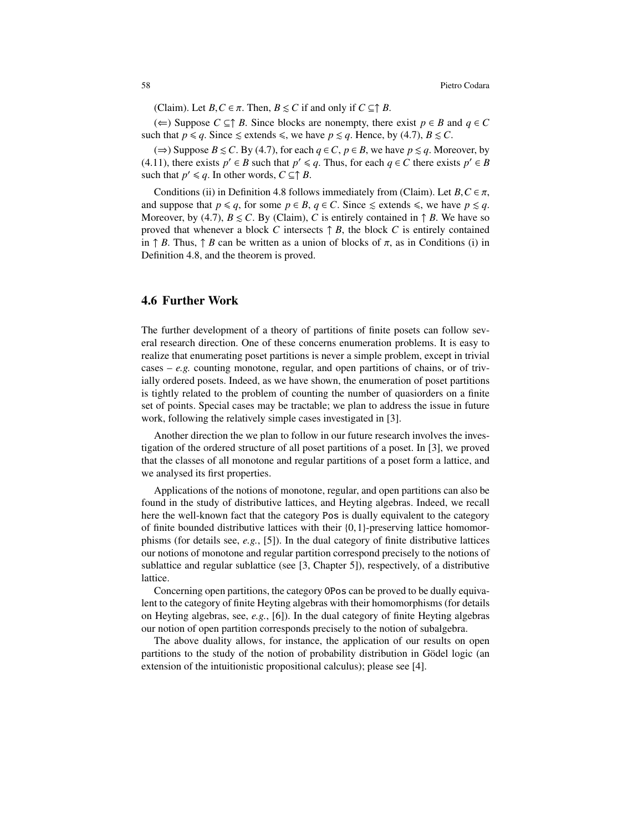(Claim). Let *B*,  $C \in \pi$ . Then,  $B \leq C$  if and only if  $C \subseteq \uparrow B$ .

(←) Suppose  $C \subseteq \uparrow B$ . Since blocks are nonempty, there exist  $p \in B$  and  $q \in C$ such that  $p \leq q$ . Since  $\leq$  extends  $\leq$ , we have  $p \leq q$ . Hence, by (4.7),  $B \leq C$ .

(⇒) Suppose *B* ≤ *C*. By (4.7), for each *q* ∈ *C*, *p* ∈ *B*, we have *p* ≤ *q*. Moreover, by (4.11), there exists  $p' \in B$  such that  $p' \le q$ . Thus, for each  $q \in C$  there exists  $p' \in B$ such that  $p' \leq q$ . In other words,  $C \subseteq \uparrow B$ .

Conditions (ii) in Definition 4.8 follows immediately from (Claim). Let  $B, C \in \pi$ , and suppose that  $p \leq q$ , for some  $p \in B$ ,  $q \in C$ . Since  $\leq$  extends  $\leq$ , we have  $p \leq q$ . Moreover, by (4.7),  $B \leq C$ . By (Claim), *C* is entirely contained in  $\uparrow B$ . We have so proved that whenever a block *C* intersects  $\uparrow$  *B*, the block *C* is entirely contained in  $\uparrow$  *B*. Thus,  $\uparrow$  *B* can be written as a union of blocks of  $\pi$ , as in Conditions (i) in Definition 4.8, and the theorem is proved.

# 4.6 Further Work

The further development of a theory of partitions of finite posets can follow several research direction. One of these concerns enumeration problems. It is easy to realize that enumerating poset partitions is never a simple problem, except in trivial cases  $-e.g.$  counting monotone, regular, and open partitions of chains, or of trivially ordered posets. Indeed, as we have shown, the enumeration of poset partitions is tightly related to the problem of counting the number of quasiorders on a finite set of points. Special cases may be tractable; we plan to address the issue in future work, following the relatively simple cases investigated in [3].

Another direction the we plan to follow in our future research involves the investigation of the ordered structure of all poset partitions of a poset. In [3], we proved that the classes of all monotone and regular partitions of a poset form a lattice, and we analysed its first properties.

Applications of the notions of monotone, regular, and open partitions can also be found in the study of distributive lattices, and Heyting algebras. Indeed, we recall here the well-known fact that the category Pos is dually equivalent to the category of finite bounded distributive lattices with their {0,1}-preserving lattice homomorphisms (for details see, *e.g.*, [5]). In the dual category of finite distributive lattices our notions of monotone and regular partition correspond precisely to the notions of sublattice and regular sublattice (see [3, Chapter 5]), respectively, of a distributive lattice.

Concerning open partitions, the category OPos can be proved to be dually equivalent to the category of finite Heyting algebras with their homomorphisms (for details on Heyting algebras, see, *e.g.*, [6]). In the dual category of finite Heyting algebras our notion of open partition corresponds precisely to the notion of subalgebra.

The above duality allows, for instance, the application of our results on open partitions to the study of the notion of probability distribution in Gödel logic (an extension of the intuitionistic propositional calculus); please see [4].